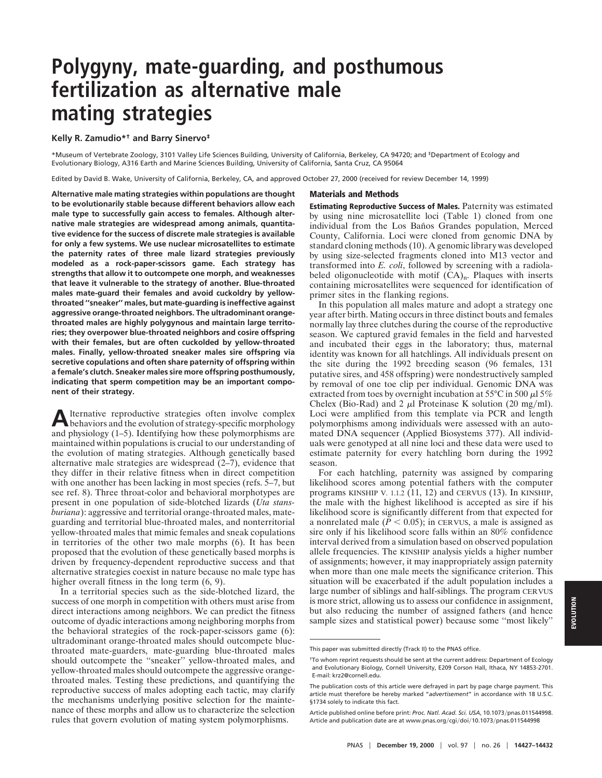# **Polygyny, mate-guarding, and posthumous fertilization as alternative male mating strategies**

## **Kelly R. Zamudio\*† and Barry Sinervo‡**

\*Museum of Vertebrate Zoology, 3101 Valley Life Sciences Building, University of California, Berkeley, CA 94720; and ‡Department of Ecology and Evolutionary Biology, A316 Earth and Marine Sciences Building, University of California, Santa Cruz, CA 95064

Edited by David B. Wake, University of California, Berkeley, CA, and approved October 27, 2000 (received for review December 14, 1999)

**Alternative male mating strategies within populations are thought to be evolutionarily stable because different behaviors allow each male type to successfully gain access to females. Although alternative male strategies are widespread among animals, quantitative evidence for the success of discrete male strategies is available for only a few systems. We use nuclear microsatellites to estimate the paternity rates of three male lizard strategies previously modeled as a rock-paper-scissors game. Each strategy has strengths that allow it to outcompete one morph, and weaknesses that leave it vulnerable to the strategy of another. Blue-throated males mate-guard their females and avoid cuckoldry by yellowthroated ''sneaker'' males, but mate-guarding is ineffective against aggressive orange-throated neighbors. The ultradominant orangethroated males are highly polygynous and maintain large territories; they overpower blue-throated neighbors and cosire offspring with their females, but are often cuckolded by yellow-throated males. Finally, yellow-throated sneaker males sire offspring via secretive copulations and often share paternity of offspring within a female's clutch. Sneaker males sire more offspring posthumously, indicating that sperm competition may be an important component of their strategy.**

**A**lternative reproductive strategies often involve complex behaviors and the evolution of strategy-specific morphology and physiology (1–5). Identifying how these polymorphisms are maintained within populations is crucial to our understanding of the evolution of mating strategies. Although genetically based alternative male strategies are widespread (2–7), evidence that they differ in their relative fitness when in direct competition with one another has been lacking in most species (refs. 5–7, but see ref. 8). Three throat-color and behavioral morphotypes are present in one population of side-blotched lizards (*Uta stansburiana*): aggressive and territorial orange-throated males, mateguarding and territorial blue-throated males, and nonterritorial yellow-throated males that mimic females and sneak copulations in territories of the other two male morphs (6). It has been proposed that the evolution of these genetically based morphs is driven by frequency-dependent reproductive success and that alternative strategies coexist in nature because no male type has higher overall fitness in the long term (6, 9).

In a territorial species such as the side-blotched lizard, the success of one morph in competition with others must arise from direct interactions among neighbors. We can predict the fitness outcome of dyadic interactions among neighboring morphs from the behavioral strategies of the rock-paper-scissors game (6): ultradominant orange-throated males should outcompete bluethroated mate-guarders, mate-guarding blue-throated males should outcompete the ''sneaker'' yellow-throated males, and yellow-throated males should outcompete the aggressive orangethroated males. Testing these predictions, and quantifying the reproductive success of males adopting each tactic, may clarify the mechanisms underlying positive selection for the maintenance of these morphs and allow us to characterize the selection rules that govern evolution of mating system polymorphisms.

#### **Materials and Methods**

**Estimating Reproductive Success of Males.** Paternity was estimated by using nine microsatellite loci (Table 1) cloned from one individual from the Los Baños Grandes population, Merced County, California. Loci were cloned from genomic DNA by standard cloning methods (10). A genomic library was developed by using size-selected fragments cloned into M13 vector and transformed into *E. coli*, followed by screening with a radiolabeled oligonucleotide with motif  $(CA)<sub>n</sub>$ . Plaques with inserts containing microsatellites were sequenced for identification of primer sites in the flanking regions.

In this population all males mature and adopt a strategy one year after birth. Mating occurs in three distinct bouts and females normally lay three clutches during the course of the reproductive season. We captured gravid females in the field and harvested and incubated their eggs in the laboratory; thus, maternal identity was known for all hatchlings. All individuals present on the site during the 1992 breeding season (96 females, 131 putative sires, and 458 offspring) were nondestructively sampled by removal of one toe clip per individual. Genomic DNA was extracted from toes by overnight incubation at 55 $\degree$ C in 500  $\mu$ l 5% Chelex (Bio-Rad) and 2  $\mu$ l Proteinase K solution (20 mg/ml). Loci were amplified from this template via PCR and length polymorphisms among individuals were assessed with an automated DNA sequencer (Applied Biosystems 377). All individuals were genotyped at all nine loci and these data were used to estimate paternity for every hatchling born during the 1992 season.

For each hatchling, paternity was assigned by comparing likelihood scores among potential fathers with the computer programs KINSHIP V. 1.1.2 (11, 12) and CERVUS (13). In KINSHIP, the male with the highest likelihood is accepted as sire if his likelihood score is significantly different from that expected for a nonrelated male  $(P < 0.05)$ ; in CERVUS, a male is assigned as sire only if his likelihood score falls within an 80% confidence interval derived from a simulation based on observed population allele frequencies. The KINSHIP analysis yields a higher number of assignments; however, it may inappropriately assign paternity when more than one male meets the significance criterion. This situation will be exacerbated if the adult population includes a large number of siblings and half-siblings. The program CERVUS is more strict, allowing us to assess our confidence in assignment, but also reducing the number of assigned fathers (and hence sample sizes and statistical power) because some ''most likely''

This paper was submitted directly (Track II) to the PNAS office.

<sup>†</sup>To whom reprint requests should be sent at the current address: Department of Ecology and Evolutionary Biology, Cornell University, E209 Corson Hall, Ithaca, NY 14853-2701. E-mail: krz2@cornell.edu.

The publication costs of this article were defrayed in part by page charge payment. This article must therefore be hereby marked "*advertisement*" in accordance with 18 U.S.C. §1734 solely to indicate this fact.

Article published online before print: Proc. Natl. Acad. Sci. USA, 10.1073/pnas.011544998. Article and publication date are at www.pnas.org/cgi/doi/10.1073/pnas.011544998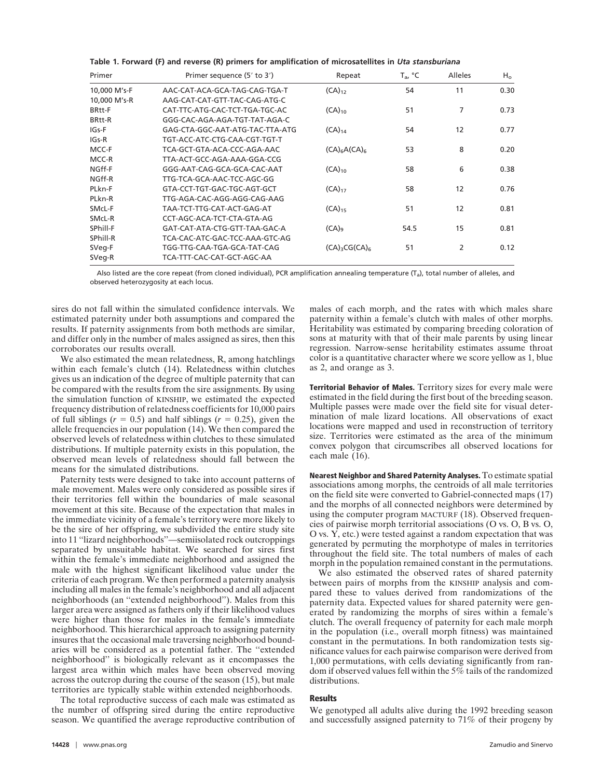|  |  |  |  |  |  | Table 1. Forward (F) and reverse (R) primers for amplification of microsatellites in Uta stansburiana |
|--|--|--|--|--|--|-------------------------------------------------------------------------------------------------------|
|--|--|--|--|--|--|-------------------------------------------------------------------------------------------------------|

| Primer        | Primer sequence (5' to 3')      | Repeat                                    | $T_a$ , °C | <b>Alleles</b> | $H_{\alpha}$ |
|---------------|---------------------------------|-------------------------------------------|------------|----------------|--------------|
| 10,000 M's-F  | AAC-CAT-ACA-GCA-TAG-CAG-TGA-T   | $(CA)_{12}$                               | 54         | 11             | 0.30         |
| 10,000 M's-R  | AAG-CAT-CAT-GTT-TAC-CAG-ATG-C   |                                           |            |                |              |
| <b>BRtt-F</b> | CAT-TTC-ATG-CAC-TCT-TGA-TGC-AC  | $(CA)_{10}$                               | 51         | 7              | 0.73         |
| <b>BRtt-R</b> | GGG-CAC-AGA-AGA-TGT-TAT-AGA-C   |                                           |            |                |              |
| $IGs-F$       | GAG-CTA-GGC-AAT-ATG-TAC-TTA-ATG | $(CA)_{14}$                               | 54         | 12             | 0.77         |
| $IGs-R$       | TGT-ACC-ATC-CTG-CAA-CGT-TGT-T   |                                           |            |                |              |
| MCC-F         | TCA-GCT-GTA-ACA-CCC-AGA-AAC     | $(CA)_{6}A(CA)_{6}$                       | 53         | 8              | 0.20         |
| MCC-R         | TTA-ACT-GCC-AGA-AAA-GGA-CCG     |                                           |            |                |              |
| NGff-F        | GGG-AAT-CAG-GCA-GCA-CAC-AAT     | $(CA)_{10}$                               | 58         | 6              | 0.38         |
| NGff-R        | TTG-TCA-GCA-AAC-TCC-AGC-GG      |                                           |            |                |              |
| PLkn-F        | GTA-CCT-TGT-GAC-TGC-AGT-GCT     | $(CA)_{17}$                               | 58         | 12             | 0.76         |
| PLkn-R        | TTG-AGA-CAC-AGG-AGG-CAG-AAG     |                                           |            |                |              |
| SMcL-F        | TAA-TCT-TTG-CAT-ACT-GAG-AT      | $(CA)_{15}$                               | 51         | 12             | 0.81         |
| SMcL-R        | CCT-AGC-ACA-TCT-CTA-GTA-AG      |                                           |            |                |              |
| SPhill-F      | GAT-CAT-ATA-CTG-GTT-TAA-GAC-A   | $(CA)_{9}$                                | 54.5       | 15             | 0.81         |
| SPhill-R      | TCA-CAC-ATC-GAC-TCC-AAA-GTC-AG  |                                           |            |                |              |
| SVeg-F        | TGG-TTG-CAA-TGA-GCA-TAT-CAG     | $(CA)$ <sub>3</sub> $CG(CA)$ <sub>6</sub> | 51         | 2              | 0.12         |
| SVeg-R        | TCA-TTT-CAC-CAT-GCT-AGC-AA      |                                           |            |                |              |

Also listed are the core repeat (from cloned individual), PCR amplification annealing temperature  $(T_a)$ , total number of alleles, and observed heterozygosity at each locus.

sires do not fall within the simulated confidence intervals. We estimated paternity under both assumptions and compared the results. If paternity assignments from both methods are similar, and differ only in the number of males assigned as sires, then this corroborates our results overall.

We also estimated the mean relatedness, R, among hatchlings within each female's clutch (14). Relatedness within clutches gives us an indication of the degree of multiple paternity that can be compared with the results from the sire assignments. By using the simulation function of KINSHIP, we estimated the expected frequency distribution of relatedness coefficients for 10,000 pairs of full siblings  $(r = 0.5)$  and half siblings  $(r = 0.25)$ , given the allele frequencies in our population (14). We then compared the observed levels of relatedness within clutches to these simulated distributions. If multiple paternity exists in this population, the observed mean levels of relatedness should fall between the means for the simulated distributions.

Paternity tests were designed to take into account patterns of male movement. Males were only considered as possible sires if their territories fell within the boundaries of male seasonal movement at this site. Because of the expectation that males in the immediate vicinity of a female's territory were more likely to be the sire of her offspring, we subdivided the entire study site into 11 ''lizard neighborhoods''—semiisolated rock outcroppings separated by unsuitable habitat. We searched for sires first within the female's immediate neighborhood and assigned the male with the highest significant likelihood value under the criteria of each program. We then performed a paternity analysis including all males in the female's neighborhood and all adjacent neighborhoods (an ''extended neighborhood''). Males from this larger area were assigned as fathers only if their likelihood values were higher than those for males in the female's immediate neighborhood. This hierarchical approach to assigning paternity insures that the occasional male traversing neighborhood boundaries will be considered as a potential father. The ''extended neighborhood'' is biologically relevant as it encompasses the largest area within which males have been observed moving across the outcrop during the course of the season (15), but male territories are typically stable within extended neighborhoods.

The total reproductive success of each male was estimated as the number of offspring sired during the entire reproductive season. We quantified the average reproductive contribution of males of each morph, and the rates with which males share paternity within a female's clutch with males of other morphs. Heritability was estimated by comparing breeding coloration of sons at maturity with that of their male parents by using linear regression. Narrow-sense heritability estimates assume throat color is a quantitative character where we score yellow as 1, blue as 2, and orange as 3.

**Territorial Behavior of Males.** Territory sizes for every male were estimated in the field during the first bout of the breeding season. Multiple passes were made over the field site for visual determination of male lizard locations. All observations of exact locations were mapped and used in reconstruction of territory size. Territories were estimated as the area of the minimum convex polygon that circumscribes all observed locations for each male (16).

**Nearest Neighbor and Shared Paternity Analyses.** To estimate spatial associations among morphs, the centroids of all male territories on the field site were converted to Gabriel-connected maps (17) and the morphs of all connected neighbors were determined by using the computer program MACTURF (18). Observed frequencies of pairwise morph territorial associations (O vs. O, B vs. O, O vs. Y, etc.) were tested against a random expectation that was generated by permuting the morphotype of males in territories throughout the field site. The total numbers of males of each morph in the population remained constant in the permutations.

We also estimated the observed rates of shared paternity between pairs of morphs from the KINSHIP analysis and compared these to values derived from randomizations of the paternity data. Expected values for shared paternity were generated by randomizing the morphs of sires within a female's clutch. The overall frequency of paternity for each male morph in the population (i.e., overall morph fitness) was maintained constant in the permutations. In both randomization tests significance values for each pairwise comparison were derived from 1,000 permutations, with cells deviating significantly from random if observed values fell within the 5% tails of the randomized distributions.

### **Results**

We genotyped all adults alive during the 1992 breeding season and successfully assigned paternity to 71% of their progeny by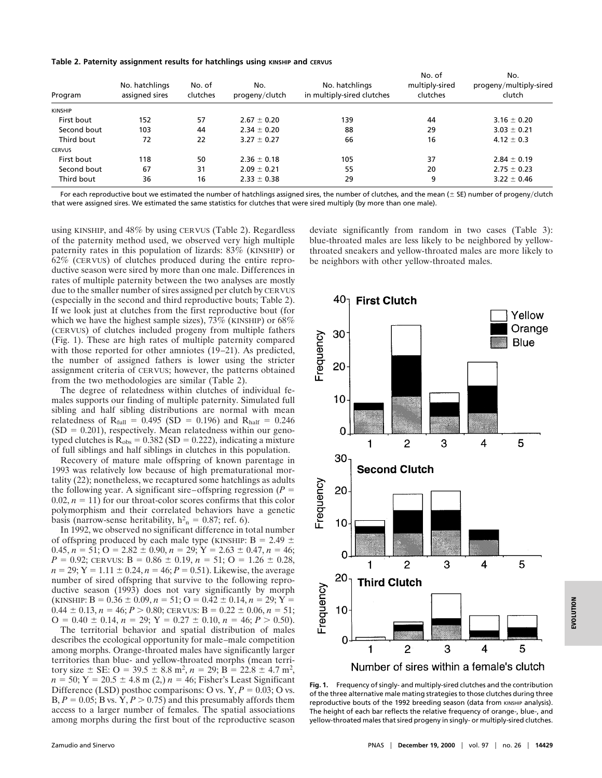#### **Table 2. Paternity assignment results for hatchlings using KINSHIP and CERVUS**

| Program        | No. hatchlings<br>assigned sires | No. of<br>clutches | No.<br>progeny/clutch | No. hatchlings<br>in multiply-sired clutches | No. of<br>multiply-sired<br>clutches | No.<br>progeny/multiply-sired<br>clutch |
|----------------|----------------------------------|--------------------|-----------------------|----------------------------------------------|--------------------------------------|-----------------------------------------|
| <b>KINSHIP</b> |                                  |                    |                       |                                              |                                      |                                         |
| First bout     | 152                              | 57                 | $2.67 \pm 0.20$       | 139                                          | 44                                   | $3.16 \pm 0.20$                         |
| Second bout    | 103                              | 44                 | $2.34 \pm 0.20$       | 88                                           | 29                                   | $3.03 \pm 0.21$                         |
| Third bout     | 72                               | 22                 | $3.27 \pm 0.27$       | 66                                           | 16                                   | $4.12 \pm 0.3$                          |
| <b>CERVUS</b>  |                                  |                    |                       |                                              |                                      |                                         |
| First bout     | 118                              | 50                 | $2.36 \pm 0.18$       | 105                                          | 37                                   | $2.84 \pm 0.19$                         |
| Second bout    | 67                               | 31                 | $2.09 \pm 0.21$       | 55                                           | 20                                   | $2.75 \pm 0.23$                         |
| Third bout     | 36                               | 16                 | $2.33 \pm 0.38$       | 29                                           | 9                                    | $3.22 \pm 0.46$                         |

For each reproductive bout we estimated the number of hatchlings assigned sires, the number of clutches, and the mean (± SE) number of progeny/clutch that were assigned sires. We estimated the same statistics for clutches that were sired multiply (by more than one male).

using KINSHIP, and 48% by using CERVUS (Table 2). Regardless of the paternity method used, we observed very high multiple paternity rates in this population of lizards: 83% (KINSHIP) or 62% (CERVUS) of clutches produced during the entire reproductive season were sired by more than one male. Differences in rates of multiple paternity between the two analyses are mostly due to the smaller number of sires assigned per clutch by CERVUS (especially in the second and third reproductive bouts; Table 2). If we look just at clutches from the first reproductive bout (for which we have the highest sample sizes), 73% (KINSHIP) or 68% (CERVUS) of clutches included progeny from multiple fathers (Fig. 1). These are high rates of multiple paternity compared with those reported for other amniotes (19–21). As predicted, the number of assigned fathers is lower using the stricter assignment criteria of CERVUS; however, the patterns obtained from the two methodologies are similar (Table 2).

The degree of relatedness within clutches of individual females supports our finding of multiple paternity. Simulated full sibling and half sibling distributions are normal with mean relatedness of  $R_{\text{full}} = 0.495$  (SD = 0.196) and  $R_{\text{half}} = 0.246$  $(SD = 0.201)$ , respectively. Mean relatedness within our genotyped clutches is  $R_{obs} = 0.382$  (SD = 0.222), indicating a mixture of full siblings and half siblings in clutches in this population.

Recovery of mature male offspring of known parentage in 1993 was relatively low because of high prematurational mortality (22); nonetheless, we recaptured some hatchlings as adults the following year. A significant sire–offspring regression  $(P =$  $0.02$ ,  $n = 11$ ) for our throat-color scores confirms that this color polymorphism and their correlated behaviors have a genetic basis (narrow-sense heritability,  $h<sup>2</sup><sub>n</sub> = 0.87$ ; ref. 6).

In 1992, we observed no significant difference in total number of offspring produced by each male type (KINSHIP:  $B = 2.49 \pm 1.5$  $0.45, n = 51$ ; O = 2.82 ± 0.90,  $n = 29$ ; Y = 2.63 ± 0.47,  $n = 46$ ;  $P = 0.92$ ; CERVUS: B = 0.86  $\pm$  0.19,  $n = 51$ ; O = 1.26  $\pm$  0.28,  $n = 29$ ;  $Y = 1.11 \pm 0.24$ ,  $n = 46$ ;  $P = 0.51$ ). Likewise, the average number of sired offspring that survive to the following reproductive season (1993) does not vary significantly by morph (KINSHIP:  $B = 0.36 \pm 0.09, n = 51$ ;  $O = 0.42 \pm 0.14, n = 29$ ;  $Y =$  $0.44 \pm 0.13$ ,  $n = 46$ ;  $P > 0.80$ ; CERVUS: B = 0.22  $\pm$  0.06,  $n = 51$ ;  $Q = 0.40 \pm 0.14, n = 29$ ;  $Y = 0.27 \pm 0.10, n = 46$ ;  $P > 0.50$ ).

The territorial behavior and spatial distribution of males describes the ecological opportunity for male–male competition among morphs. Orange-throated males have significantly larger territories than blue- and yellow-throated morphs (mean territory size  $\pm$  SE: O = 39.5  $\pm$  8.8 m<sup>2</sup>, n = 29; B = 22.8  $\pm$  4.7 m<sup>2</sup>,  $n = 50$ ;  $Y = 20.5 \pm 4.8$  m (2,)  $n = 46$ ; Fisher's Least Significant Difference (LSD) posthoc comparisons: O vs.  $Y, P = 0.03$ ; O vs.  $B, P = 0.05$ ; B vs. Y,  $P > 0.75$ ) and this presumably affords them access to a larger number of females. The spatial associations among morphs during the first bout of the reproductive season

deviate significantly from random in two cases (Table 3): blue-throated males are less likely to be neighbored by yellowthroated sneakers and yellow-throated males are more likely to be neighbors with other yellow-throated males.



**Fig. 1.** Frequency of singly- and multiply-sired clutches and the contribution of the three alternative male mating strategies to those clutches during three reproductive bouts of the 1992 breeding season (data from KINSHIP analysis). The height of each bar reflects the relative frequency of orange-, blue-, and yellow-throated males that sired progeny in singly- or multiply-sired clutches.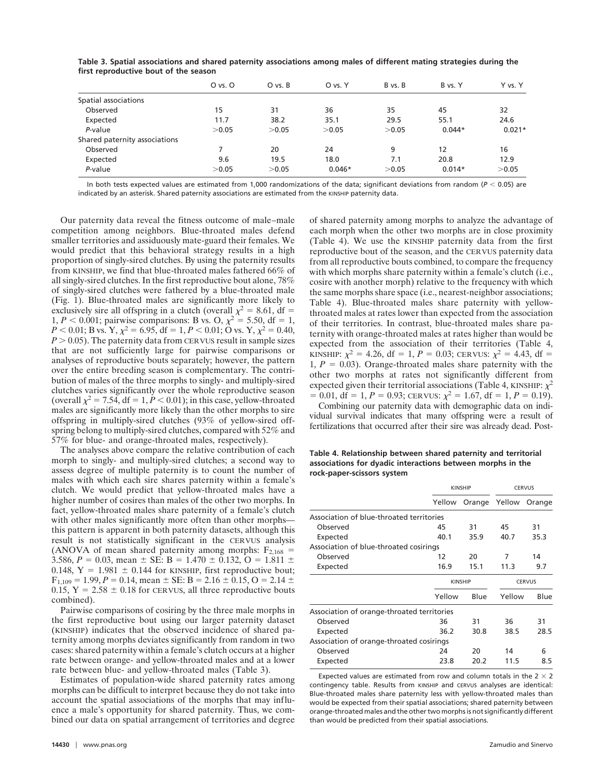|                               | O vs. O | $O$ vs. $B$ | O vs. Y  | B vs. B | B vs. Y  | Y vs. Y  |
|-------------------------------|---------|-------------|----------|---------|----------|----------|
| Spatial associations          |         |             |          |         |          |          |
| Observed                      | 15      | 31          | 36       | 35      | 45       | 32       |
| Expected                      | 11.7    | 38.2        | 35.1     | 29.5    | 55.1     | 24.6     |
| P-value                       | >0.05   | >0.05       | >0.05    | >0.05   | $0.044*$ | $0.021*$ |
| Shared paternity associations |         |             |          |         |          |          |
| Observed                      |         | 20          | 24       | 9       | 12       | 16       |
| Expected                      | 9.6     | 19.5        | 18.0     | 7.1     | 20.8     | 12.9     |
| P-value                       | >0.05   | >0.05       | $0.046*$ | >0.05   | $0.014*$ | >0.05    |

**Table 3. Spatial associations and shared paternity associations among males of different mating strategies during the first reproductive bout of the season**

In both tests expected values are estimated from 1,000 randomizations of the data; significant deviations from random ( $P < 0.05$ ) are indicated by an asterisk. Shared paternity associations are estimated from the KINSHIP paternity data.

Our paternity data reveal the fitness outcome of male–male competition among neighbors. Blue-throated males defend smaller territories and assiduously mate-guard their females. We would predict that this behavioral strategy results in a high proportion of singly-sired clutches. By using the paternity results from KINSHIP, we find that blue-throated males fathered 66% of all singly-sired clutches. In the first reproductive bout alone, 78% of singly-sired clutches were fathered by a blue-throated male (Fig. 1). Blue-throated males are significantly more likely to exclusively sire all offspring in a clutch (overall  $\chi^2 = 8.61$ , df = 1, *P* < 0.001; pairwise comparisons: B vs. O,  $\chi^2 = 5.50$ , df = 1, *P* < 0.01; B vs. Y,  $\chi^2$  = 6.95, df = 1, *P* < 0.01; O vs. Y,  $\chi^2$  = 0.40,  $P > 0.05$ ). The paternity data from CERVUS result in sample sizes that are not sufficiently large for pairwise comparisons or analyses of reproductive bouts separately; however, the pattern over the entire breeding season is complementary. The contribution of males of the three morphs to singly- and multiply-sired clutches varies significantly over the whole reproductive season (overall  $\chi^2 = 7.54$ , df = 1, *P* < 0.01); in this case, yellow-throated males are significantly more likely than the other morphs to sire offspring in multiply-sired clutches (93% of yellow-sired offspring belong to multiply-sired clutches, compared with 52% and 57% for blue- and orange-throated males, respectively).

The analyses above compare the relative contribution of each morph to singly- and multiply-sired clutches; a second way to assess degree of multiple paternity is to count the number of males with which each sire shares paternity within a female's clutch. We would predict that yellow-throated males have a higher number of cosires than males of the other two morphs. In fact, yellow-throated males share paternity of a female's clutch with other males significantly more often than other morphsthis pattern is apparent in both paternity datasets, although this result is not statistically significant in the CERVUS analysis (ANOVA of mean shared paternity among morphs:  $F_{2,168}$  = 3.586,  $P = 0.03$ , mean  $\pm$  SE: B = 1.470  $\pm$  0.132, O = 1.811  $\pm$ 0.148, Y = 1.981  $\pm$  0.144 for KINSHIP, first reproductive bout;  $F_{1,109} = 1.99, P = 0.14, \text{ mean } \pm \text{ SE: B} = 2.16 \pm 0.15, O = 2.14 \pm 0.15$ 0.15,  $Y = 2.58 \pm 0.18$  for CERVUS, all three reproductive bouts combined).

Pairwise comparisons of cosiring by the three male morphs in the first reproductive bout using our larger paternity dataset (KINSHIP) indicates that the observed incidence of shared paternity among morphs deviates significantly from random in two cases: shared paternity within a female's clutch occurs at a higher rate between orange- and yellow-throated males and at a lower rate between blue- and yellow-throated males (Table 3).

Estimates of population-wide shared paternity rates among morphs can be difficult to interpret because they do not take into account the spatial associations of the morphs that may influence a male's opportunity for shared paternity. Thus, we combined our data on spatial arrangement of territories and degree of shared paternity among morphs to analyze the advantage of each morph when the other two morphs are in close proximity (Table 4). We use the KINSHIP paternity data from the first reproductive bout of the season, and the CERVUS paternity data from all reproductive bouts combined, to compare the frequency with which morphs share paternity within a female's clutch (i.e., cosire with another morph) relative to the frequency with which the same morphs share space (i.e., nearest-neighbor associations; Table 4). Blue-throated males share paternity with yellowthroated males at rates lower than expected from the association of their territories. In contrast, blue-throated males share paternity with orange-throated males at rates higher than would be expected from the association of their territories (Table 4, KINSHIP:  $\chi^2 = 4.26$ , df = 1, *P* = 0.03; CERVUS:  $\chi^2 = 4.43$ , df = 1,  $P = 0.03$ ). Orange-throated males share paternity with the other two morphs at rates not significantly different from expected given their territorial associations (Table 4, KINSHIP:  $\chi^2$  $= 0.01$ , df = 1, *P* = 0.93; CERVUS:  $\chi^2 = 1.67$ , df = 1, *P* = 0.19). Combining our paternity data with demographic data on indi-

vidual survival indicates that many offspring were a result of fertilizations that occurred after their sire was already dead. Post-

| Table 4. Relationship between shared paternity and territorial |
|----------------------------------------------------------------|
| associations for dyadic interactions between morphs in the     |
| rock-paper-scissors system                                     |

|                                            | <b>KINSHIP</b> |                |        | <b>CERVUS</b> |
|--------------------------------------------|----------------|----------------|--------|---------------|
|                                            | Yellow         | Orange         | Yellow | Orange        |
| Association of blue-throated territories   |                |                |        |               |
| Observed                                   | 45             | 31             | 45     | 31            |
| Expected                                   | 40.1           | 35.9           | 40.7   | 35.3          |
| Association of blue-throated cosirings     |                |                |        |               |
| Observed                                   | 12             | 20             | 7      | 14            |
| Expected                                   | 16.9           | 15.1           | 11.3   | 9.7           |
|                                            |                |                |        |               |
|                                            |                | <b>KINSHIP</b> |        | <b>CERVUS</b> |
|                                            | Yellow         | Blue           | Yellow | Blue          |
| Association of orange-throated territories |                |                |        |               |
| Observed                                   | 36             | 31             | 36     | 31            |
| Expected                                   | 36.2           | 30.8           | 38.5   | 28.5          |
| Association of orange-throated cosirings   |                |                |        |               |
| Observed                                   | 24             | 20             | 14     | 6             |

Expected values are estimated from row and column totals in the  $2 \times 2$ contingency table. Results from KINSHIP and CERVUS analyses are identical: Blue-throated males share paternity less with yellow-throated males than would be expected from their spatial associations; shared paternity between orange-throated males and the other two morphs is not significantly different than would be predicted from their spatial associations.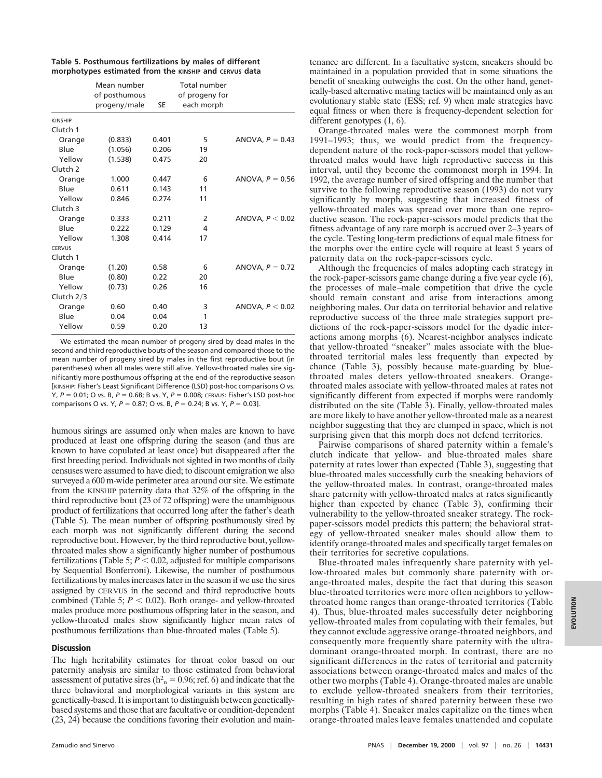| Table 5. Posthumous fertilizations by males of different |
|----------------------------------------------------------|
| morphotypes estimated from the KINSHIP and CERVUS data   |

|                     | Mean number<br>of posthumous<br>progeny/male | <b>SE</b> | Total number<br>of progeny for<br>each morph |                   |
|---------------------|----------------------------------------------|-----------|----------------------------------------------|-------------------|
| <b>KINSHIP</b>      |                                              |           |                                              |                   |
| Clutch 1            |                                              |           |                                              |                   |
| Orange              | (0.833)                                      | 0.401     | 5                                            | ANOVA, $P = 0.43$ |
| Blue                | (1.056)                                      | 0.206     | 19                                           |                   |
| Yellow              | (1.538)                                      | 0.475     | 20                                           |                   |
| Clutch <sub>2</sub> |                                              |           |                                              |                   |
| Orange              | 1.000                                        | 0.447     | 6                                            | ANOVA, $P = 0.56$ |
| Blue                | 0.611                                        | 0.143     | 11                                           |                   |
| Yellow              | 0.846                                        | 0.274     | 11                                           |                   |
| Clutch <sub>3</sub> |                                              |           |                                              |                   |
| Orange              | 0.333                                        | 0.211     | 2                                            | ANOVA, $P < 0.02$ |
| Blue                | 0.222                                        | 0.129     | 4                                            |                   |
| Yellow              | 1.308                                        | 0.414     | 17                                           |                   |
| <b>CERVUS</b>       |                                              |           |                                              |                   |
| Clutch 1            |                                              |           |                                              |                   |
| Orange              | (1.20)                                       | 0.58      | 6                                            | ANOVA, $P = 0.72$ |
| Blue                | (0.80)                                       | 0.22      | 20                                           |                   |
| Yellow              | (0.73)                                       | 0.26      | 16                                           |                   |
| Clutch $2/3$        |                                              |           |                                              |                   |
| Orange              | 0.60                                         | 0.40      | 3                                            | ANOVA, $P < 0.02$ |
| Blue                | 0.04                                         | 0.04      | 1                                            |                   |
| Yellow              | 0.59                                         | 0.20      | 13                                           |                   |

We estimated the mean number of progeny sired by dead males in the second and third reproductive bouts of the season and compared those to the mean number of progeny sired by males in the first reproductive bout (in parentheses) when all males were still alive. Yellow-throated males sire significantly more posthumous offspring at the end of the reproductive season [KINSHIP: Fisher's Least Significant Difference (LSD) post-hoc comparisons O vs. Y,  $P = 0.01$ ; O vs. B,  $P = 0.68$ ; B vs. Y,  $P = 0.008$ ; CERVUS: Fisher's LSD post-hoc comparisons O vs. Y,  $P = 0.87$ ; O vs. B,  $P = 0.24$ ; B vs. Y,  $P = 0.03$ ].

humous sirings are assumed only when males are known to have produced at least one offspring during the season (and thus are known to have copulated at least once) but disappeared after the first breeding period. Individuals not sighted in two months of daily censuses were assumed to have died; to discount emigration we also surveyed a 600 m-wide perimeter area around our site. We estimate from the KINSHIP paternity data that 32% of the offspring in the third reproductive bout (23 of 72 offspring) were the unambiguous product of fertilizations that occurred long after the father's death (Table 5). The mean number of offspring posthumously sired by each morph was not significantly different during the second reproductive bout. However, by the third reproductive bout, yellowthroated males show a significantly higher number of posthumous fertilizations (Table 5;  $P < 0.02$ , adjusted for multiple comparisons by Sequential Bonferroni). Likewise, the number of posthumous fertilizations by males increases later in the season if we use the sires assigned by CERVUS in the second and third reproductive bouts combined (Table 5;  $P < 0.02$ ). Both orange- and yellow-throated males produce more posthumous offspring later in the season, and yellow-throated males show significantly higher mean rates of posthumous fertilizations than blue-throated males (Table 5).

### **Discussion**

The high heritability estimates for throat color based on our paternity analysis are similar to those estimated from behavioral assessment of putative sires ( $h<sup>2</sup><sub>n</sub> = 0.96$ ; ref. 6) and indicate that the three behavioral and morphological variants in this system are genetically-based. It is important to distinguish between geneticallybased systems and those that are facultative or condition-dependent (23, 24) because the conditions favoring their evolution and main-

tenance are different. In a facultative system, sneakers should be maintained in a population provided that in some situations the benefit of sneaking outweighs the cost. On the other hand, genetically-based alternative mating tactics will be maintained only as an evolutionary stable state (ESS; ref. 9) when male strategies have equal fitness or when there is frequency-dependent selection for different genotypes (1, 6).

Orange-throated males were the commonest morph from 1991–1993; thus, we would predict from the frequencydependent nature of the rock-paper-scissors model that yellowthroated males would have high reproductive success in this interval, until they become the commonest morph in 1994. In 1992, the average number of sired offspring and the number that survive to the following reproductive season (1993) do not vary significantly by morph, suggesting that increased fitness of yellow-throated males was spread over more than one reproductive season. The rock-paper-scissors model predicts that the fitness advantage of any rare morph is accrued over 2–3 years of the cycle. Testing long-term predictions of equal male fitness for the morphs over the entire cycle will require at least 5 years of paternity data on the rock-paper-scissors cycle.

Although the frequencies of males adopting each strategy in the rock-paper-scissors game change during a five year cycle (6), the processes of male–male competition that drive the cycle should remain constant and arise from interactions among neighboring males. Our data on territorial behavior and relative reproductive success of the three male strategies support predictions of the rock-paper-scissors model for the dyadic interactions among morphs (6). Nearest-neighbor analyses indicate that yellow-throated ''sneaker'' males associate with the bluethroated territorial males less frequently than expected by chance (Table 3), possibly because mate-guarding by bluethroated males deters yellow-throated sneakers. Orangethroated males associate with yellow-throated males at rates not significantly different from expected if morphs were randomly distributed on the site (Table 3). Finally, yellow-throated males are more likely to have another yellow-throated male as a nearest neighbor suggesting that they are clumped in space, which is not surprising given that this morph does not defend territories.

Pairwise comparisons of shared paternity within a female's clutch indicate that yellow- and blue-throated males share paternity at rates lower than expected (Table 3), suggesting that blue-throated males successfully curb the sneaking behaviors of the yellow-throated males. In contrast, orange-throated males share paternity with yellow-throated males at rates significantly higher than expected by chance (Table 3), confirming their vulnerability to the yellow-throated sneaker strategy. The rockpaper-scissors model predicts this pattern; the behavioral strategy of yellow-throated sneaker males should allow them to identify orange-throated males and specifically target females on their territories for secretive copulations.

Blue-throated males infrequently share paternity with yellow-throated males but commonly share paternity with orange-throated males, despite the fact that during this season blue-throated territories were more often neighbors to yellowthroated home ranges than orange-throated territories (Table 4). Thus, blue-throated males successfully deter neighboring yellow-throated males from copulating with their females, but they cannot exclude aggressive orange-throated neighbors, and consequently more frequently share paternity with the ultradominant orange-throated morph. In contrast, there are no significant differences in the rates of territorial and paternity associations between orange-throated males and males of the other two morphs (Table 4). Orange-throated males are unable to exclude yellow-throated sneakers from their territories, resulting in high rates of shared paternity between these two morphs (Table 4). Sneaker males capitalize on the times when orange-throated males leave females unattended and copulate